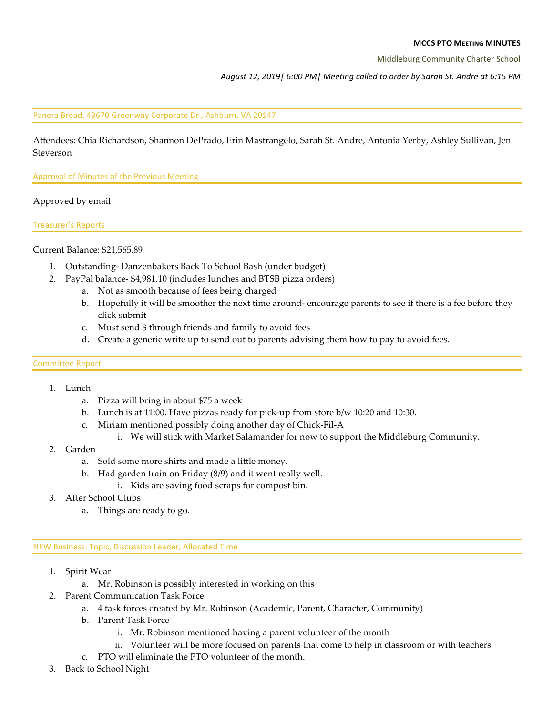### **MCCS PTO MEETING MINUTES**

Middleburg Community Charter School

*August 12, 2019| 6:00 PM| Meeting called to order by Sarah St. Andre at 6:15 PM* 

Panera Bread, 43670 Greenway Corporate Dr., Ashburn, VA 20147

Attendees: Chia Richardson, Shannon DePrado, Erin Mastrangelo, Sarah St. Andre, Antonia Yerby, Ashley Sullivan, Jen Steverson

Approval of Minutes of the Previous Meeting

## Approved by email

Treasurer's Reports

### Current Balance: \$21,565.89

- 1. Outstanding- Danzenbakers Back To School Bash (under budget)
- 2. PayPal balance- \$4,981.10 (includes lunches and BTSB pizza orders)
	- a. Not as smooth because of fees being charged
	- b. Hopefully it will be smoother the next time around- encourage parents to see if there is a fee before they click submit
	- c. Must send \$ through friends and family to avoid fees
	- d. Create a generic write up to send out to parents advising them how to pay to avoid fees.

### Committee Report

- 1. Lunch
	- a. Pizza will bring in about \$75 a week
	- b. Lunch is at 11:00. Have pizzas ready for pick-up from store b/w 10:20 and 10:30.
	- c. Miriam mentioned possibly doing another day of Chick-Fil-A
		- i. We will stick with Market Salamander for now to support the Middleburg Community.
- 2. Garden
	- a. Sold some more shirts and made a little money.
	- b. Had garden train on Friday (8/9) and it went really well.
		- i. Kids are saving food scraps for compost bin.
- 3. After School Clubs
	- a. Things are ready to go.

NEW Business: Topic, Discussion Leader, Allocated Time

- 1. Spirit Wear
	- a. Mr. Robinson is possibly interested in working on this
- 2. Parent Communication Task Force
	- a. 4 task forces created by Mr. Robinson (Academic, Parent, Character, Community)
	- b. Parent Task Force
		- i. Mr. Robinson mentioned having a parent volunteer of the month
		- ii. Volunteer will be more focused on parents that come to help in classroom or with teachers
	- c. PTO will eliminate the PTO volunteer of the month.
- 3. Back to School Night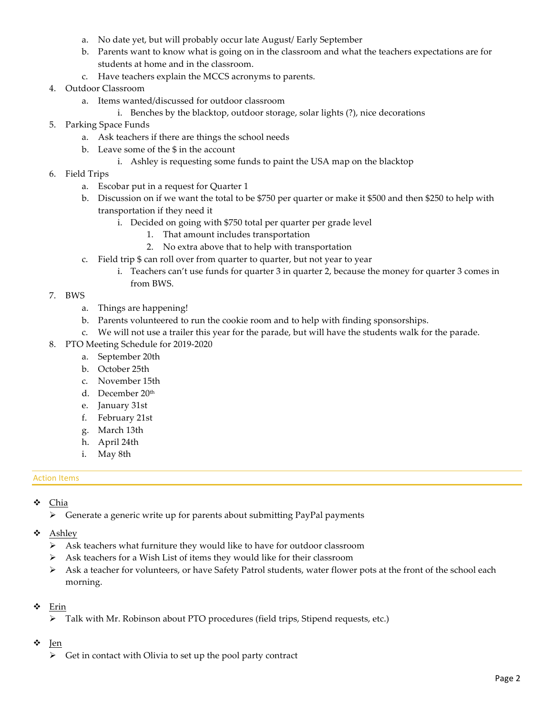- a. No date yet, but will probably occur late August/ Early September
- b. Parents want to know what is going on in the classroom and what the teachers expectations are for students at home and in the classroom.
- c. Have teachers explain the MCCS acronyms to parents.
- 4. Outdoor Classroom
	- a. Items wanted/discussed for outdoor classroom
		- i. Benches by the blacktop, outdoor storage, solar lights (?), nice decorations
- 5. Parking Space Funds
	- a. Ask teachers if there are things the school needs
	- b. Leave some of the \$ in the account
		- i. Ashley is requesting some funds to paint the USA map on the blacktop
- 6. Field Trips
	- a. Escobar put in a request for Quarter 1
	- b. Discussion on if we want the total to be \$750 per quarter or make it \$500 and then \$250 to help with transportation if they need it
		- i. Decided on going with \$750 total per quarter per grade level
			- 1. That amount includes transportation
			- 2. No extra above that to help with transportation
	- c. Field trip \$ can roll over from quarter to quarter, but not year to year
		- i. Teachers can't use funds for quarter 3 in quarter 2, because the money for quarter 3 comes in from BWS.
- 7. BWS
	- a. Things are happening!
	- b. Parents volunteered to run the cookie room and to help with finding sponsorships.
	- c. We will not use a trailer this year for the parade, but will have the students walk for the parade.
- 8. PTO Meeting Schedule for 2019-2020
	- a. September 20th
	- b. October 25th
	- c. November 15th
	- d. December 20th
	- e. January 31st
	- f. February 21st
	- g. March 13th
	- h. April 24th
	- i. May 8th

# **Action Items**

- v Chia
	- $\triangleright$  Generate a generic write up for parents about submitting PayPal payments
- v Ashley
	- $\triangleright$  Ask teachers what furniture they would like to have for outdoor classroom
	- $\triangleright$  Ask teachers for a Wish List of items they would like for their classroom
	- $\triangleright$  Ask a teacher for volunteers, or have Safety Patrol students, water flower pots at the front of the school each morning.
- $\div$  Erin
	- $\triangleright$  Talk with Mr. Robinson about PTO procedures (field trips, Stipend requests, etc.)
- v Jen
	- $\triangleright$  Get in contact with Olivia to set up the pool party contract